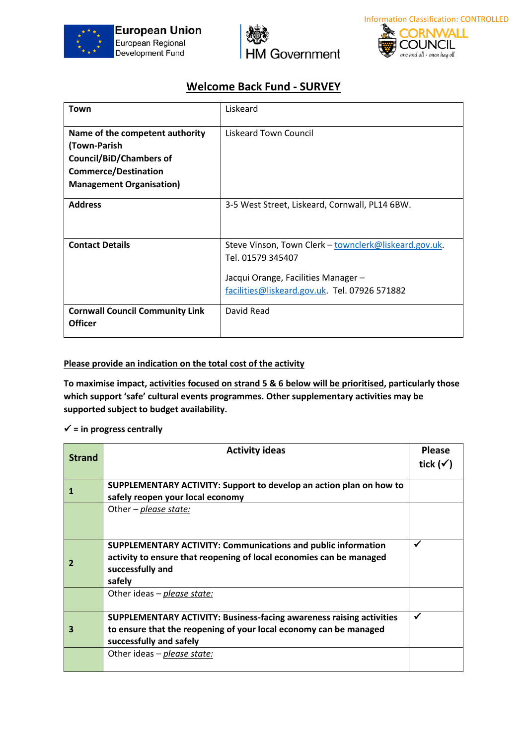





## **Welcome Back Fund - SURVEY**

| Town                                   | Liskeard                                              |
|----------------------------------------|-------------------------------------------------------|
| Name of the competent authority        | Liskeard Town Council                                 |
| (Town-Parish                           |                                                       |
| <b>Council/BiD/Chambers of</b>         |                                                       |
| <b>Commerce/Destination</b>            |                                                       |
| <b>Management Organisation)</b>        |                                                       |
| <b>Address</b>                         | 3-5 West Street, Liskeard, Cornwall, PL14 6BW.        |
| <b>Contact Details</b>                 | Steve Vinson, Town Clerk - townclerk@liskeard.gov.uk. |
|                                        | Tel. 01579 345407                                     |
|                                        | Jacqui Orange, Facilities Manager -                   |
|                                        | facilities@liskeard.gov.uk. Tel. 07926 571882         |
| <b>Cornwall Council Community Link</b> | David Read                                            |
| <b>Officer</b>                         |                                                       |

## **Please provide an indication on the total cost of the activity**

**To maximise impact, activities focused on strand 5 & 6 below will be prioritised, particularly those which support 'safe' cultural events programmes. Other supplementary activities may be supported subject to budget availability.**

## ✓ **= in progress centrally**

| <b>Strand</b> | <b>Activity ideas</b>                                                                                                                     | <b>Please</b><br>tick $(\checkmark)$ |
|---------------|-------------------------------------------------------------------------------------------------------------------------------------------|--------------------------------------|
|               | SUPPLEMENTARY ACTIVITY: Support to develop an action plan on how to                                                                       |                                      |
|               | safely reopen your local economy                                                                                                          |                                      |
|               | Other – <i>please state:</i>                                                                                                              |                                      |
|               |                                                                                                                                           |                                      |
|               | <b>SUPPLEMENTARY ACTIVITY: Communications and public information</b>                                                                      | ✓                                    |
|               | activity to ensure that reopening of local economies can be managed<br>successfully and                                                   |                                      |
|               | safely                                                                                                                                    |                                      |
|               | Other ideas - please state:                                                                                                               |                                      |
|               |                                                                                                                                           | √                                    |
| 3             | SUPPLEMENTARY ACTIVITY: Business-facing awareness raising activities<br>to ensure that the reopening of your local economy can be managed |                                      |
|               | successfully and safely                                                                                                                   |                                      |
|               | Other ideas - please state:                                                                                                               |                                      |
|               |                                                                                                                                           |                                      |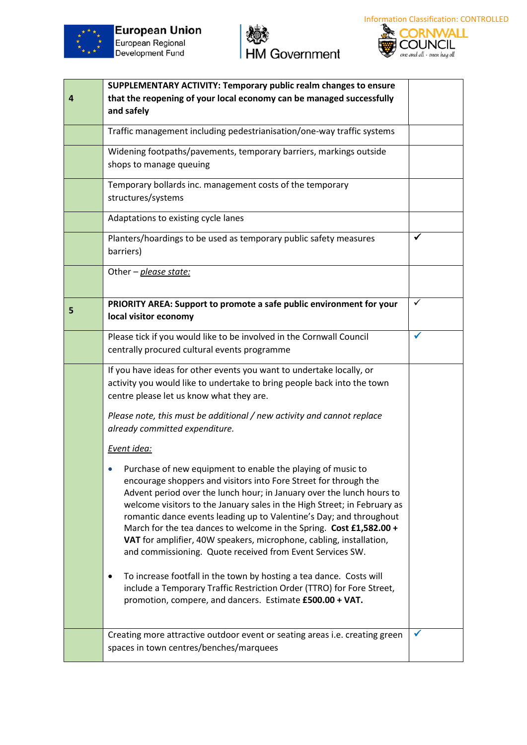





|   | SUPPLEMENTARY ACTIVITY: Temporary public realm changes to ensure                                                                                                                                                                                                                                                                                                                                                                                                                                                                                                       |   |
|---|------------------------------------------------------------------------------------------------------------------------------------------------------------------------------------------------------------------------------------------------------------------------------------------------------------------------------------------------------------------------------------------------------------------------------------------------------------------------------------------------------------------------------------------------------------------------|---|
| 4 | that the reopening of your local economy can be managed successfully<br>and safely                                                                                                                                                                                                                                                                                                                                                                                                                                                                                     |   |
|   | Traffic management including pedestrianisation/one-way traffic systems                                                                                                                                                                                                                                                                                                                                                                                                                                                                                                 |   |
|   | Widening footpaths/pavements, temporary barriers, markings outside<br>shops to manage queuing                                                                                                                                                                                                                                                                                                                                                                                                                                                                          |   |
|   | Temporary bollards inc. management costs of the temporary<br>structures/systems                                                                                                                                                                                                                                                                                                                                                                                                                                                                                        |   |
|   | Adaptations to existing cycle lanes                                                                                                                                                                                                                                                                                                                                                                                                                                                                                                                                    |   |
|   | Planters/hoardings to be used as temporary public safety measures<br>barriers)                                                                                                                                                                                                                                                                                                                                                                                                                                                                                         | ✔ |
|   | Other - please state:                                                                                                                                                                                                                                                                                                                                                                                                                                                                                                                                                  |   |
| 5 | PRIORITY AREA: Support to promote a safe public environment for your<br>local visitor economy                                                                                                                                                                                                                                                                                                                                                                                                                                                                          | ✓ |
|   | Please tick if you would like to be involved in the Cornwall Council<br>centrally procured cultural events programme                                                                                                                                                                                                                                                                                                                                                                                                                                                   | ✔ |
|   | If you have ideas for other events you want to undertake locally, or<br>activity you would like to undertake to bring people back into the town<br>centre please let us know what they are.                                                                                                                                                                                                                                                                                                                                                                            |   |
|   | Please note, this must be additional / new activity and cannot replace<br>already committed expenditure.                                                                                                                                                                                                                                                                                                                                                                                                                                                               |   |
|   | Event idea:                                                                                                                                                                                                                                                                                                                                                                                                                                                                                                                                                            |   |
|   | Purchase of new equipment to enable the playing of music to<br>encourage shoppers and visitors into Fore Street for through the<br>Advent period over the lunch hour; in January over the lunch hours to<br>welcome visitors to the January sales in the High Street; in February as<br>romantic dance events leading up to Valentine's Day; and throughout<br>March for the tea dances to welcome in the Spring. Cost £1,582.00 +<br>VAT for amplifier, 40W speakers, microphone, cabling, installation,<br>and commissioning. Quote received from Event Services SW. |   |
|   | To increase footfall in the town by hosting a tea dance. Costs will<br>٠<br>include a Temporary Traffic Restriction Order (TTRO) for Fore Street,<br>promotion, compere, and dancers. Estimate £500.00 + VAT.                                                                                                                                                                                                                                                                                                                                                          |   |
|   | Creating more attractive outdoor event or seating areas i.e. creating green<br>spaces in town centres/benches/marquees                                                                                                                                                                                                                                                                                                                                                                                                                                                 | ✔ |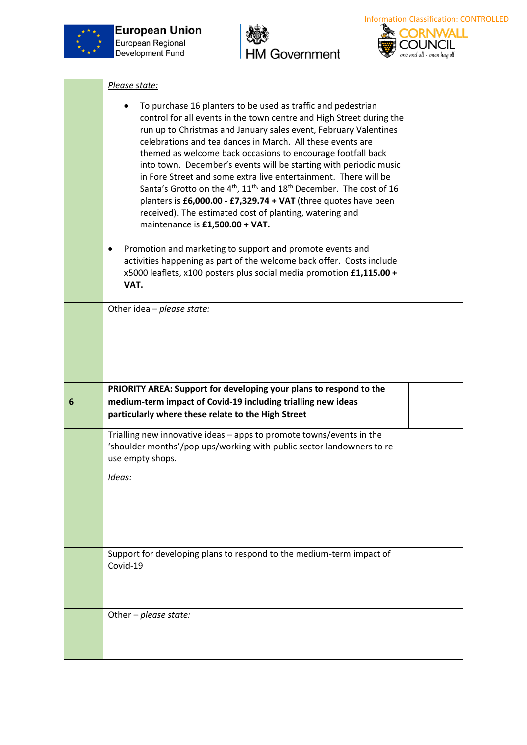

**European Union** European Regional Development Fund





|   | Please state:                                                                                                                                                                                                                                                                                                                                                                                                                                                                                                                                                                                                                                                                                                                                               |  |
|---|-------------------------------------------------------------------------------------------------------------------------------------------------------------------------------------------------------------------------------------------------------------------------------------------------------------------------------------------------------------------------------------------------------------------------------------------------------------------------------------------------------------------------------------------------------------------------------------------------------------------------------------------------------------------------------------------------------------------------------------------------------------|--|
|   | To purchase 16 planters to be used as traffic and pedestrian<br>control for all events in the town centre and High Street during the<br>run up to Christmas and January sales event, February Valentines<br>celebrations and tea dances in March. All these events are<br>themed as welcome back occasions to encourage footfall back<br>into town. December's events will be starting with periodic music<br>in Fore Street and some extra live entertainment. There will be<br>Santa's Grotto on the 4 <sup>th</sup> , 11 <sup>th,</sup> and 18 <sup>th</sup> December. The cost of 16<br>planters is $£6,000.00 - £7,329.74 + VAT$ (three quotes have been<br>received). The estimated cost of planting, watering and<br>maintenance is £1,500.00 + VAT. |  |
|   | Promotion and marketing to support and promote events and<br>activities happening as part of the welcome back offer. Costs include<br>x5000 leaflets, x100 posters plus social media promotion £1,115.00 +<br>VAT.                                                                                                                                                                                                                                                                                                                                                                                                                                                                                                                                          |  |
|   | Other idea - please state:                                                                                                                                                                                                                                                                                                                                                                                                                                                                                                                                                                                                                                                                                                                                  |  |
|   |                                                                                                                                                                                                                                                                                                                                                                                                                                                                                                                                                                                                                                                                                                                                                             |  |
| 6 | PRIORITY AREA: Support for developing your plans to respond to the<br>medium-term impact of Covid-19 including trialling new ideas                                                                                                                                                                                                                                                                                                                                                                                                                                                                                                                                                                                                                          |  |
|   | particularly where these relate to the High Street                                                                                                                                                                                                                                                                                                                                                                                                                                                                                                                                                                                                                                                                                                          |  |
|   | Trialling new innovative ideas - apps to promote towns/events in the<br>'shoulder months'/pop ups/working with public sector landowners to re-<br>use empty shops.<br>Ideas:                                                                                                                                                                                                                                                                                                                                                                                                                                                                                                                                                                                |  |
|   | Support for developing plans to respond to the medium-term impact of<br>Covid-19                                                                                                                                                                                                                                                                                                                                                                                                                                                                                                                                                                                                                                                                            |  |
|   | Other - please state:                                                                                                                                                                                                                                                                                                                                                                                                                                                                                                                                                                                                                                                                                                                                       |  |